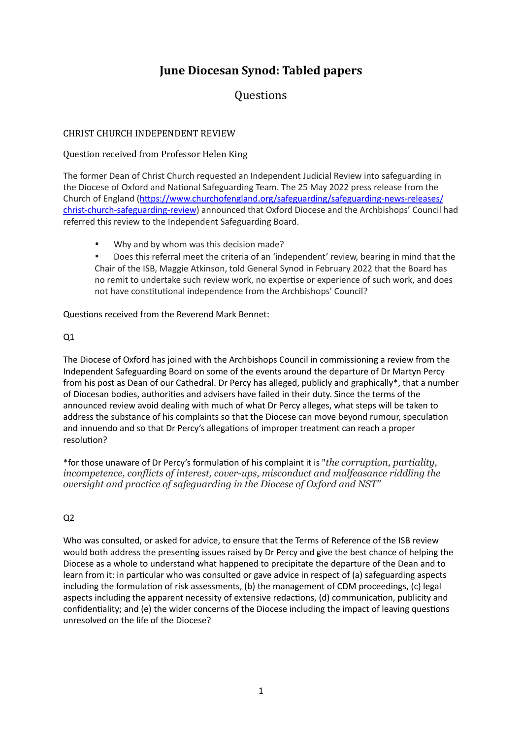# **June Diocesan Synod: Tabled papers**

## **Questions**

#### CHRIST CHURCH INDEPENDENT REVIEW

#### Question received from Professor Helen King

The former Dean of Christ Church requested an Independent Judicial Review into safeguarding in the Diocese of Oxford and National Safeguarding Team. The 25 May 2022 press release from the Church of England (https://www.churchofengland.org/safeguarding/safeguarding-news-releases/ [christ-church-safeguarding-review\)](https://eur01.safelinks.protection.outlook.com/?url=https://www.churchofengland.org/safeguarding/safeguarding-news-releases/christ-church-safeguarding-review&data=05%257C01%257Cdiosec@oxford.anglican.org%257Cf4fac1d8420744b17fc308da44cf180e%257C89fc0848423a41d790a1784e916fbcc4%257C0%257C0%257C637897953623796315%257CUnknown%257CTWFpbGZsb3d8eyJWIjoiMC4wLjAwMDAiLCJQIjoiV2luMzIiLCJBTiI6Ik1haWwiLCJXVCI6Mn0=%257C1000%257C%257C%257C&sdata=COvjbS2ZeCf68nOaGiqjBFHvi/A/91vh4AO/rBLWE/I=&reserved=0) announced that Oxford Diocese and the Archbishops' Council had referred this review to the Independent Safeguarding Board.

- Why and by whom was this decision made?
- Does this referral meet the criteria of an 'independent' review, bearing in mind that the Chair of the ISB, Maggie Atkinson, told General Synod in February 2022 that the Board has no remit to undertake such review work, no expertise or experience of such work, and does not have constitutional independence from the Archbishops' Council?

#### Questions received from the Reverend Mark Bennet:

#### $O<sub>1</sub>$

The Diocese of Oxford has joined with the Archbishops Council in commissioning a review from the Independent Safeguarding Board on some of the events around the departure of Dr Martyn Percy from his post as Dean of our Cathedral. Dr Percy has alleged, publicly and graphically\*, that a number of Diocesan bodies, authorities and advisers have failed in their duty. Since the terms of the announced review avoid dealing with much of what Dr Percy alleges, what steps will be taken to address the substance of his complaints so that the Diocese can move beyond rumour, speculation and innuendo and so that Dr Percy's allegations of improper treatment can reach a proper resolution?

\*for those unaware of Dr Percy's formulation of his complaint it is "*the corruption, partiality, incompetence, conflicts of interest, cover-ups, misconduct and malfeasance riddling the oversight and practice of safeguarding in the Diocese of Oxford and NST"*

### $Q<sub>2</sub>$

Who was consulted, or asked for advice, to ensure that the Terms of Reference of the ISB review would both address the presenting issues raised by Dr Percy and give the best chance of helping the Diocese as a whole to understand what happened to precipitate the departure of the Dean and to learn from it: in particular who was consulted or gave advice in respect of (a) safeguarding aspects including the formulation of risk assessments, (b) the management of CDM proceedings, (c) legal aspects including the apparent necessity of extensive redactions, (d) communication, publicity and confidentiality; and (e) the wider concerns of the Diocese including the impact of leaving questions unresolved on the life of the Diocese?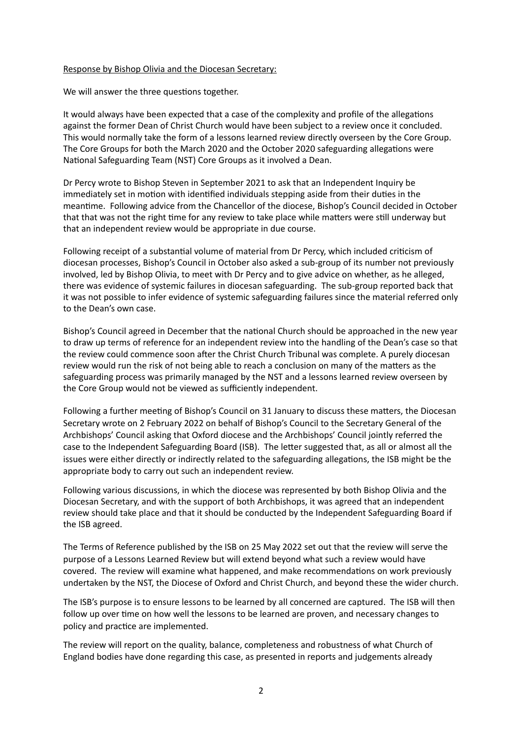#### Response by Bishop Olivia and the Diocesan Secretary:

We will answer the three questions together.

It would always have been expected that a case of the complexity and profile of the allegations against the former Dean of Christ Church would have been subject to a review once it concluded. This would normally take the form of a lessons learned review directly overseen by the Core Group. The Core Groups for both the March 2020 and the October 2020 safeguarding allegations were National Safeguarding Team (NST) Core Groups as it involved a Dean.

Dr Percy wrote to Bishop Steven in September 2021 to ask that an Independent Inquiry be immediately set in motion with identified individuals stepping aside from their duties in the meantime. Following advice from the Chancellor of the diocese, Bishop's Council decided in October that that was not the right time for any review to take place while matters were still underway but that an independent review would be appropriate in due course.

Following receipt of a substantial volume of material from Dr Percy, which included criticism of diocesan processes, Bishop's Council in October also asked a sub-group of its number not previously involved, led by Bishop Olivia, to meet with Dr Percy and to give advice on whether, as he alleged, there was evidence of systemic failures in diocesan safeguarding. The sub-group reported back that it was not possible to infer evidence of systemic safeguarding failures since the material referred only to the Dean's own case.

Bishop's Council agreed in December that the national Church should be approached in the new year to draw up terms of reference for an independent review into the handling of the Dean's case so that the review could commence soon after the Christ Church Tribunal was complete. A purely diocesan review would run the risk of not being able to reach a conclusion on many of the matters as the safeguarding process was primarily managed by the NST and a lessons learned review overseen by the Core Group would not be viewed as sufficiently independent.

Following a further meeting of Bishop's Council on 31 January to discuss these matters, the Diocesan Secretary wrote on 2 February 2022 on behalf of Bishop's Council to the Secretary General of the Archbishops' Council asking that Oxford diocese and the Archbishops' Council jointly referred the case to the Independent Safeguarding Board (ISB). The letter suggested that, as all or almost all the issues were either directly or indirectly related to the safeguarding allegations, the ISB might be the appropriate body to carry out such an independent review.

Following various discussions, in which the diocese was represented by both Bishop Olivia and the Diocesan Secretary, and with the support of both Archbishops, it was agreed that an independent review should take place and that it should be conducted by the Independent Safeguarding Board if the ISB agreed.

The Terms of Reference published by the ISB on 25 May 2022 set out that the review will serve the purpose of a Lessons Learned Review but will extend beyond what such a review would have covered. The review will examine what happened, and make recommendations on work previously undertaken by the NST, the Diocese of Oxford and Christ Church, and beyond these the wider church.

The ISB's purpose is to ensure lessons to be learned by all concerned are captured. The ISB will then follow up over time on how well the lessons to be learned are proven, and necessary changes to policy and practice are implemented.

The review will report on the quality, balance, completeness and robustness of what Church of England bodies have done regarding this case, as presented in reports and judgements already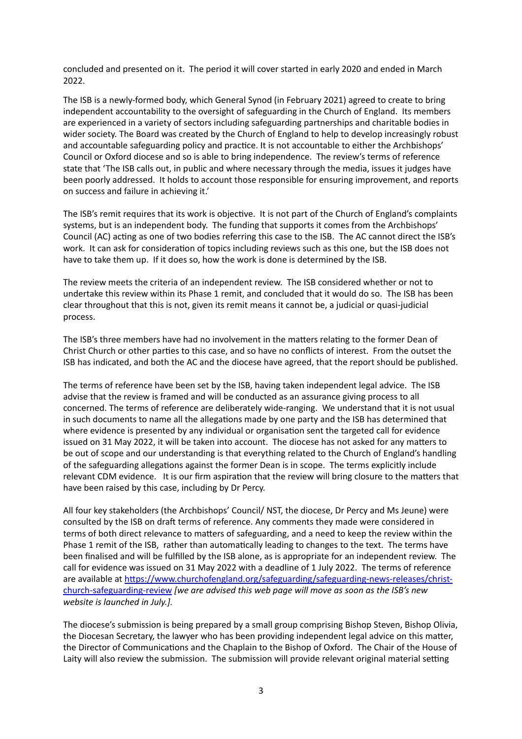concluded and presented on it. The period it will cover started in early 2020 and ended in March 2022. 

The ISB is a newly-formed body, which General Synod (in February 2021) agreed to create to bring independent accountability to the oversight of safeguarding in the Church of England. Its members are experienced in a variety of sectors including safeguarding partnerships and charitable bodies in wider society. The Board was created by the Church of England to help to develop increasingly robust and accountable safeguarding policy and practice. It is not accountable to either the Archbishops' Council or Oxford diocese and so is able to bring independence. The review's terms of reference state that 'The ISB calls out, in public and where necessary through the media, issues it judges have been poorly addressed. It holds to account those responsible for ensuring improvement, and reports on success and failure in achieving it.'

The ISB's remit requires that its work is objective. It is not part of the Church of England's complaints systems, but is an independent body. The funding that supports it comes from the Archbishops' Council (AC) acting as one of two bodies referring this case to the ISB. The AC cannot direct the ISB's work. It can ask for consideration of topics including reviews such as this one, but the ISB does not have to take them up. If it does so, how the work is done is determined by the ISB.

The review meets the criteria of an independent review. The ISB considered whether or not to undertake this review within its Phase 1 remit, and concluded that it would do so. The ISB has been clear throughout that this is not, given its remit means it cannot be, a judicial or quasi-judicial process. 

The ISB's three members have had no involvement in the matters relating to the former Dean of Christ Church or other parties to this case, and so have no conflicts of interest. From the outset the ISB has indicated, and both the AC and the diocese have agreed, that the report should be published.

The terms of reference have been set by the ISB, having taken independent legal advice. The ISB advise that the review is framed and will be conducted as an assurance giving process to all concerned. The terms of reference are deliberately wide-ranging. We understand that it is not usual in such documents to name all the allegations made by one party and the ISB has determined that where evidence is presented by any individual or organisation sent the targeted call for evidence issued on 31 May 2022, it will be taken into account. The diocese has not asked for any matters to be out of scope and our understanding is that everything related to the Church of England's handling of the safeguarding allegations against the former Dean is in scope. The terms explicitly include relevant CDM evidence. It is our firm aspiration that the review will bring closure to the matters that have been raised by this case, including by Dr Percy.

All four key stakeholders (the Archbishops' Council/ NST, the diocese, Dr Percy and Ms Jeune) were consulted by the ISB on draft terms of reference. Any comments they made were considered in terms of both direct relevance to matters of safeguarding, and a need to keep the review within the Phase 1 remit of the ISB, rather than automatically leading to changes to the text. The terms have been finalised and will be fulfilled by the ISB alone, as is appropriate for an independent review. The call for evidence was issued on 31 May 2022 with a deadline of 1 July 2022. The terms of reference are available at https://www.churchofengland.org/safeguarding/safeguarding-news-releases/christ[church-safeguarding-review](https://www.churchofengland.org/safeguarding/safeguarding-news-releases/christ-church-safeguarding-review) *[we are advised this web page will move as soon as the ISB's new website is launched in July.].* 

The diocese's submission is being prepared by a small group comprising Bishop Steven, Bishop Olivia, the Diocesan Secretary, the lawyer who has been providing independent legal advice on this matter, the Director of Communications and the Chaplain to the Bishop of Oxford. The Chair of the House of Laity will also review the submission. The submission will provide relevant original material setting